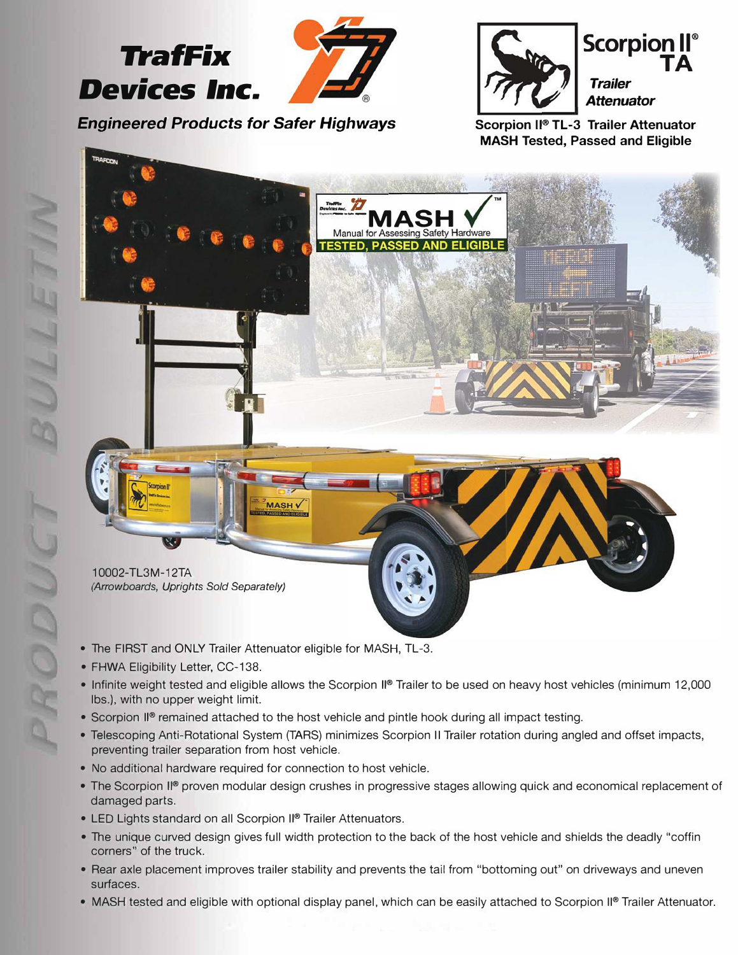



**Scorpion II® TL-3 Trailer Attenuator MASH Tested, Passed and Eligible** 



- The FIRST and ONLY Trailer Attenuator eligible for MASH, TL-3.
- FHWA Eligibility Letter, CC-138.
- Infinite weight tested and eligible allows the Scorpion II® Trailer to be used on heavy host vehicles (minimum 12,000 lbs.), with no upper weight limit.
- Scorpion II® remained attached to the host vehicle and pintle hook during all impact testing.
- Telescoping Anti-Rotational System (TARS) minimizes Scorpion II Trailer rotation during angled and offset impacts, preventing trailer separation from host vehicle.
- No additional hardware required for connection to host vehicle.
- The Scorpion II® proven modular design crushes in progressive stages allowing quick and economical replacement of damaged parts.
- LED Lights standard on all Scorpion II® Trailer Attenuators.
- The unique curved design gives full width protection to the back of the host vehicle and shields the deadly "coffin corners" of the truck.
- Rear axle placement improves trailer stability and prevents the tail from "bottoming out" on driveways and uneven surfaces.
- **MASH** tested and eligible with optional display panel, which can be easily attached to Scorpion II® Trailer Attenuator.